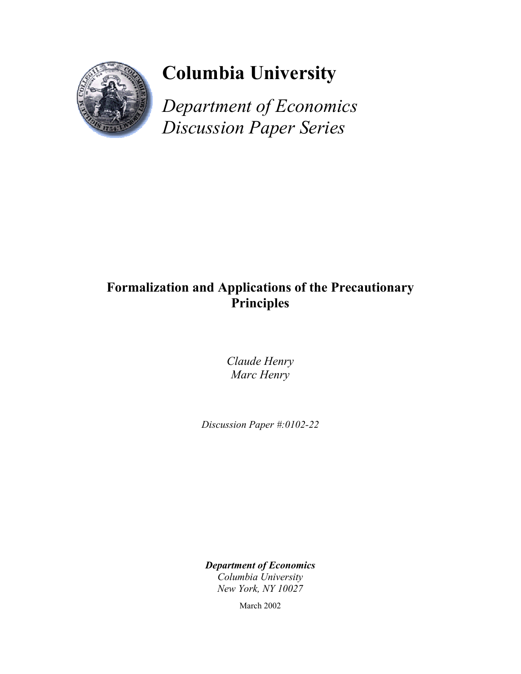

# **Columbia University**

*Department of Economics Discussion Paper Series*

## **Formalization and Applications of the Precautionary Principles**

*Claude Henry Marc Henry* 

*Discussion Paper #:0102-22* 

*Department of Economics Columbia University New York, NY 10027* 

March 2002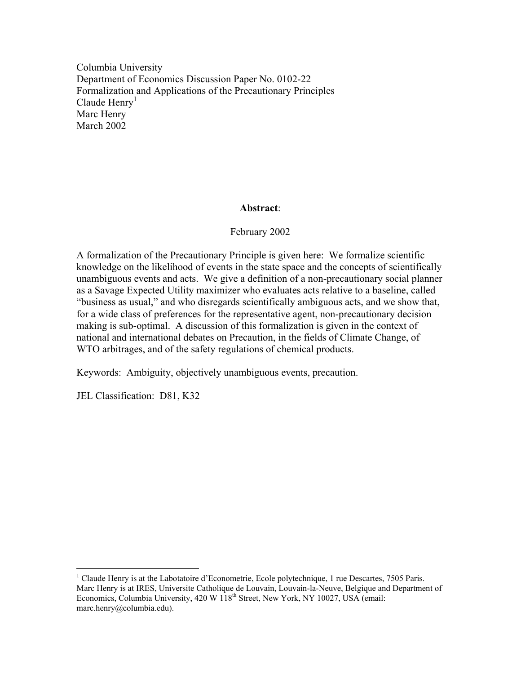Columbia University Department of Economics Discussion Paper No. 0102-22 Formalization and Applications of the Precautionary Principles Claude  $Henry<sup>1</sup>$ Marc Henry March 2002

### **Abstract**:

### February 2002

A formalization of the Precautionary Principle is given here: We formalize scientific knowledge on the likelihood of events in the state space and the concepts of scientifically unambiguous events and acts. We give a definition of a non-precautionary social planner as a Savage Expected Utility maximizer who evaluates acts relative to a baseline, called "business as usual," and who disregards scientifically ambiguous acts, and we show that, for a wide class of preferences for the representative agent, non-precautionary decision making is sub-optimal. A discussion of this formalization is given in the context of national and international debates on Precaution, in the fields of Climate Change, of WTO arbitrages, and of the safety regulations of chemical products.

Keywords: Ambiguity, objectively unambiguous events, precaution.

JEL Classification: D81, K32

 $\overline{a}$ 

<sup>&</sup>lt;sup>1</sup> Claude Henry is at the Labotatoire d'Econometrie, Ecole polytechnique, 1 rue Descartes, 7505 Paris. Marc Henry is at IRES, Universite Catholique de Louvain, Louvain-la-Neuve, Belgique and Department of Economics, Columbia University, 420 W 118<sup>th</sup> Street, New York, NY 10027, USA (email: marc.henry@columbia.edu).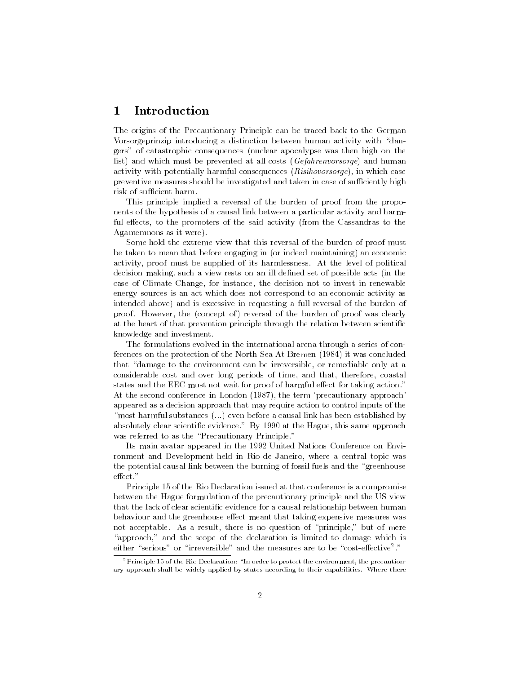#### 1 1 Introduction

The origins of the Precautionary Principle can be traced back to the German Vorsorgeprinzip introducing a distinction between human activity with "dangers" of catastrophic consequences (nuclear apocalypse was then high on the list) and which must be prevented at all costs (Gefahrenvorsorge) and human activity with potentially harmful consequences (Risikovorsorge), in which case preventive measures should be investigated and taken in case of sufficiently high risk of sufficient harm.

This principle implied a reversal of the burden of proof from the proponents of the hypothesis of a causal link between a particular activity and harmful effects, to the promoters of the said activity (from the Cassandras to the Agamemnons as it were).

Some hold the extreme view that this reversal of the burden of proof must be taken to mean that before engaging in (or indeed maintaining) an economic activity, proof must be supplied of its harmlessness. At the level of political decision making, such a view rests on an ill dened set of possible acts (in the case of Climate Change, for instance, the decision not to invest in renewable energy sources is an act which does not correspond to an economic activity as intended above) and is excessive in requesting a full reversal of the burden of proof. However, the (concept of) reversal of the burden of proof was clearly at the heart of that prevention principle through the relation between scientific knowledge and investment.

The formulations evolved in the international arena through a series of conferences on the protection of the North Sea At Bremen (1984) it was concluded that "damage to the environment can be irreversible, or remediable only at a considerable cost and over long periods of time, and that, therefore, coastal states and the EEC must not wait for proof of harmful effect for taking action." At the second conference in London (1987), the term `precautionary approach' appeared as a decision approach that may require action to control inputs of the "most harmful substances  $(...)$  even before a causal link has been established by absolutely clear scientific evidence." By 1990 at the Hague, this same approach was referred to as the "Precautionary Principle."

Its main avatar appeared in the 1992 United Nations Conference on Environment and Development held in Rio de Janeiro, where a central topic was the potential causal link between the burning of fossil fuels and the "greenhouse"

Principle 15 of the Rio Declaration issued at that conference is a compromise between the Hague formulation of the precautionary principle and the US view that the lack of clear scientic evidence for a causal relationship between human behaviour and the greenhouse effect meant that taking expensive measures was not acceptable. As a result, there is no question of \principle," but of mere "approach," and the scope of the declaration is limited to damage which is either serious or irreversible and the measures are to be  $\cos$ t-effective .  $\,$ 

<sup>&</sup>lt;sup>2</sup>Principle 15 of the Rio Declaration: "In order to protect the environment, the precautionary approach shall be widely applied by states according to their capabilities. Where there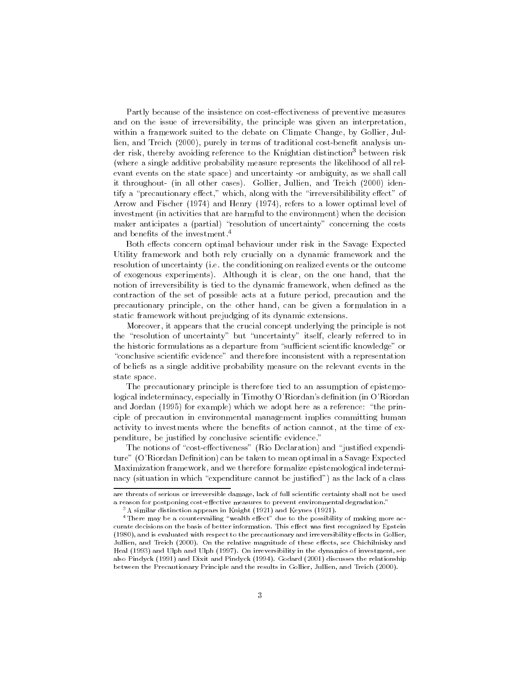Partly because of the insistence on cost-effectiveness of preventive measures and on the issue of irreversibility, the principle was given an interpretation, within a framework suited to the debate on Climate Change, by Gollier, Jullien, and Treich (2000), purely in terms of traditional cost-benefit analysis under risk, thereby avoiding reference to the Knightian distinction<sup>3</sup> between risk (where a single additive probability measure represents the likelihood of all relevant events on the state space) and uncertainty -or ambiguity, as we shall call it throughout- (in all other cases). Gollier, Jullien, and Treich (2000) identify a "precautionary effect," which, along with the "irreversibilibility effect" of Arrow and Fischer (1974) and Henry (1974), refers to a lower optimal level of investment (in activities that are harmful to the environment) when the decision maker anticipates a (partial) "resolution of uncertainty" concerning the costs and benefits of the investment.<sup>4</sup>

Both effects concern optimal behaviour under risk in the Savage Expected Utility framework and both rely crucially on a dynamic framework and the resolution of uncertainty (i.e. the conditioning on realized events or the outcome of exogenous experiments). Although it is clear, on the one hand, that the notion of irreversibility is tied to the dynamic framework, when defined as the contraction of the set of possible acts at a future period, precaution and the precautionary principle, on the other hand, can be given a formulation in a static framework without prejudging of its dynamic extensions.

Moreover, it appears that the crucial concept underlying the principle is not the "resolution of uncertainty" but "uncertainty" itself, clearly referred to in the historic formulations as a departure from "sufficient scientific knowledge" or "conclusive scientific evidence" and therefore inconsistent with a representation of beliefs as a single additive probability measure on the relevant events in the state space.

The precautionary principle is therefore tied to an assumption of epistemological indeterminacy, especially in Timothy O'Riordan's denition (in O'Riordan and Jordan (1995) for example) which we adopt here as a reference: "the principle of precaution in environmental management implies committing human activity to investments where the benefits of action cannot, at the time of expenditure, be justified by conclusive scientific evidence."

The notions of "cost-effectiveness" (Rio Declaration) and "justified expenditure" (O'Riordan Definition) can be taken to mean optimal in a Savage Expected Maximization framework, and we therefore formalize epistemological indeterminacy (situation in which "expenditure cannot be justified") as the lack of a class

are threats of serious or irreversible damage, lack of full scientific certainty shall not be used a reason for postponing cost-effective measures to prevent environmental degradation."

 $3A$  similar distinction appears in Knight (1921) and Keynes (1921).

 $4$ There may be a countervailing "wealth effect" due to the possibility of making more accurate decisions on the basis of better information. This effect was first recognized by Epstein (1980), and is evaluated with respect to the precautionary and irreversibility effects in Gollier, Jullien, and Treich (2000). On the relative magnitude of these effects, see Chichilnisky and Heal (1993) and Ulph and Ulph (1997). On irreversibility in the dynamics of investment, see also Pindyck (1991) and Dixit and Pindyck (1994). Godard (2001) discusses the relationship between the Precautionary Principle and the results in Gollier, Jullien, and Treich (2000).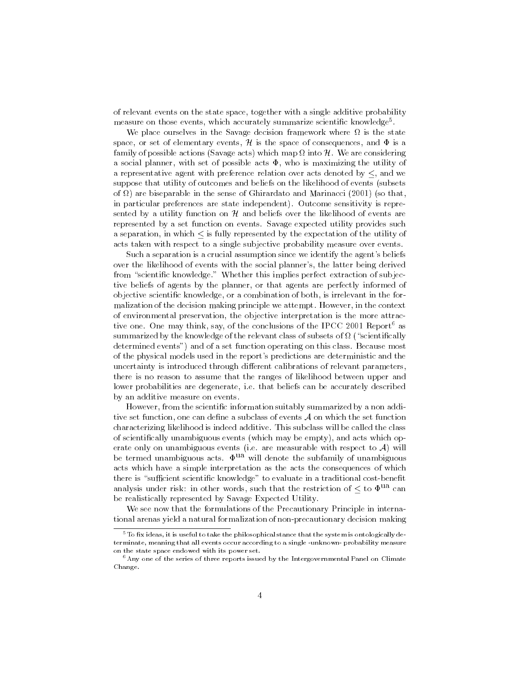of relevant events on the state space, together with a single additive probability measure on those events, which accurately summarize scientific knowledge\*. The

We place ourselves in the Savage decision framework where is the state space, or set of elementary events,  $\mathcal{H}$  is the space of consequences, and  $\Phi$  is a family of possible actions (Savage acts) which map into H. We are considering a social planner, with set of possible acts  $\Phi$ , who is maximizing the utility of a representative agent with preference relation over acts denoted by  $\leq$ , and we suppose that utility of outcomes and beliefs on the likelihood of events (subsets of ) are biseparable in the sense of Ghirardato and Marinacci (2001) (so that, in particular preferences are state independent). Outcome sensitivity is represented by a utility function on  $H$  and beliefs over the likelihood of events are represented by a set function on events. Savage expected utility provides such a separation, in which  $\leq$  is fully represented by the expectation of the utility of acts taken with respect to a single subjective probability measure over events.

Such a separation is a crucial assumption since we identify the agent's beliefs over the likelihood of events with the social planner's, the latter being derived from "scientific knowledge." Whether this implies perfect extraction of subjective beliefs of agents by the planner, or that agents are perfectly informed of objective scientic knowledge, or a combination of both, is irrelevant in the formalization of the decision making principle we attempt. However, in the context of environmental preservation, the objective interpretation is the more attractive one. One may think, say, of the conclusions of the IPCC 2001 Report<sup>6</sup> as summarized by the most class  $\mathbb{R}^n$  , we choose the class of subsets of subsets of  $\mathbb{R}^n$  , we call  $\mathbb{R}^n$ determined events") and of a set function operating on this class. Because most of the physical models used in the report's predictions are deterministic and the uncertainty is introduced through different calibrations of relevant parameters, there is no reason to assume that the ranges of likelihood between upper and lower probabilities are degenerate, i.e. that beliefs can be accurately described by an additive measure on events.

However, from the scientific information suitably summarized by a non additive set function, one can define a subclass of events  $A$  on which the set function characterizing likelihood is indeed additive. This subclass will be called the class of scientically unambiguous events (which may be empty), and acts which operate only on unambiguous events (i.e. are measurable with respect to  $A$ ) will be termed unambiguous acts.  $\Phi^{ua}$  will denote the subfamily of unambiguous acts which have a simple interpretation as the acts the consequences of which there is "sufficient scientific knowledge" to evaluate in a traditional cost-benefit analysis under risk: in other words, such that the restriction of  $\leq$  to  $\Phi$ <sup>ua</sup> can be realistically represented by Savage Expected Utility.

We see now that the formulations of the Precautionary Principle in international arenas yield a natural formalization of non-precautionary decision making

 $^{5}{\rm To}$  fix ideas, it is useful to take the philosophical stance that the system is ontologically determinate, meaning that all events occur according to a single -unknown- probability measure on the state space endowed with its power set.

 $6$ Any one of the series of three reports issued by the Intergovernmental Panel on Climate Change. Change.com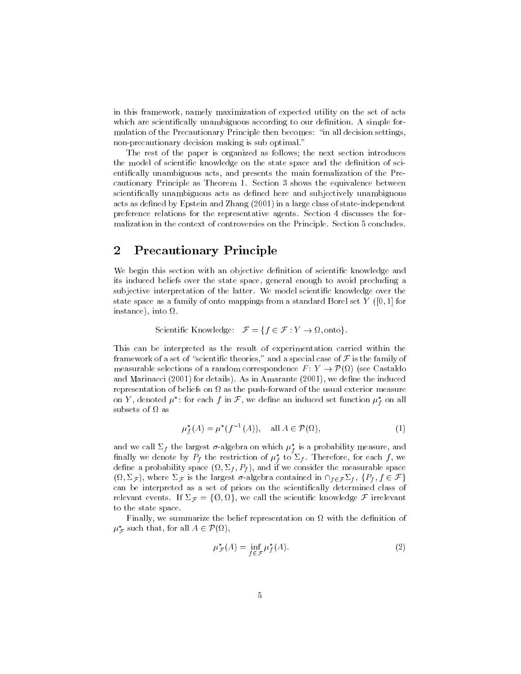in this framework, namely maximization of expected utility on the set of acts which are scientifically unambiguous according to our definition. A simple formulation of the Precautionary Principle then becomes: \in all decision settings, non-precautionary decision making is sub optimal."

The rest of the paper is organized as follows; the next section introduces the model of scientific knowledge on the state space and the definition of scientically unambiguous acts, and presents the main formalization of the Precautionary Principle as Theorem 1. Section 3 shows the equivalence between scientifically unambiguous acts as defined here and subjectively unambiguous acts as defined by Epstein and Zhang (2001) in a large class of state-independent preference relations for the representative agents. Section 4 discusses the formalization in the context of controversies on the Principle. Section 5 concludes.

### 2 Precautionary Principle  $\overline{2}$

We begin this section with an objective definition of scientific knowledge and its induced beliefs over the state space, general enough to avoid precluding a subjective interpretation of the latter. We model scientic knowledge over the state space as a family of onto mappings from a standard Borel set Y  $([0, 1]$  for instance), into .

scientistic methods in the first contract of the first contract of the first contract of the first contract of

This can be interpreted as the result of experimentation carried within the framework of a set of "scientific theories," and a special case of  $\mathcal F$  is the family of measurable selections of a random correspondence F : Y ! P( ) (see Castaldo and Marinacci (2001) for details). As in Amarante (2001), we define the induced representation of beliefs on the push-forward of the usual exterior measurement of the usual exterior measureme on  $r$  , denoted  $\mu$  : for each  $f$  in  $\mathcal{F},$  we define an induced set function  $\mu_f$  on all subsets of  $\Omega$  as

$$
\mu_f^*(A) = \mu^*(f^{-1}(A)), \quad \text{all } A \in \mathcal{P}(\Omega), \tag{1}
$$

and we call  $\Sigma_f$  the largest  $\sigma$ -algebra on which  $\mu_f$  is a probability measure, and mhally we denote by  $\varGamma_f$  the restriction of  $\mu_f$  to  $\varSigma_f$ . Therefore, for each  $f$ , we fdecrease in probability space (se) — ( ), ( ), and if we consider the measurable space space of  $\mathcal{L} = \{1, 1, 2, \cdots, n-1, 2, \cdots, n-1, 2, \cdots, n-1, 2, \cdots, n-1, 2, \cdots, n-1, 2, \cdots, n-1, 2, \cdots, n-1, 2, \cdots, n-1, 2, \cdots, n-1, 2, \cdots, n-1, 2, \cdots, n-1, 2, \cdots, n-1, 2, \cdots, n-1, 2, \cdots, n-1, 2, \cdots, n-1, 2, \cdots, n-1, 2, \cdots, n-1, 2, \cdots, n-1, 2, \cdots, n$ can be interpreted as a set of priors on the scientically determined class of relevant events. If F <sup>=</sup> f; g, we call the scientic knowledge <sup>F</sup> irrelevant to the state space.

Finally, we summarize the belief representation on with the denition of  $\mu_{\mathcal{F}}$  such that, for all  $A \in \mathcal{P}(M)$ ,

$$
\mu_{\mathcal{F}}^*(A) = \inf_{f \in \mathcal{F}} \mu_f^*(A). \tag{2}
$$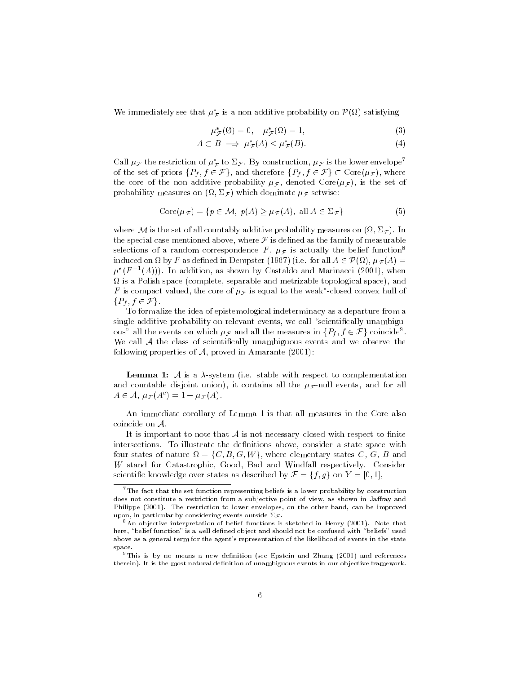We immediately see that  $\mu_{\mathcal{F}}$  is a non-additive probability on  $P(x)$  satisfying

$$
\mu^*_{\mathcal{F}}(\emptyset) = 0, \quad \mu^*_{\mathcal{F}}(\Omega) = 1,\tag{3}
$$

$$
A \subset B \implies \mu_{\mathcal{F}}^*(A) \le \mu_{\mathcal{F}}^*(B). \tag{4}
$$

Call  $\mu$ <sub>F</sub> the restriction of  $\mu^*$  to  $\Sigma$ <sub>F</sub>. By construction,  $\mu$ <sub>F</sub> is the lower envelope<sup>7</sup> of the set of priors fPf  $\{f\}$   $\subset$  F  $\{f\}$  and therefore fPf  $\{f\}$   $\subset$  F  $\{f\}$   $\subset$   $\subset$   $\subset$   $\subset$ the core of the non additive probability  $\mu_{\mathcal{F}}$ , denoted Core $(\mu_{\mathcal{F}})$ , is the set of probability measures on (ii)  $j$  , which dominates  $f^{\prime\prime}$  which does

$$
Core(\mu_{\mathcal{F}}) = \{ p \in \mathcal{M}, \ p(A) \ge \mu_{\mathcal{F}}(A), \ \text{all } A \in \Sigma_{\mathcal{F}} \}
$$
(5)

where  $M$  is the set of all countable probability measures on (  $\sim$  ). In the set of  $\sim$  1. In the set of  $\sim$ the special case mentioned above, where  $\mathcal F$  is defined as the family of measurable selections of a random correspondence F,  $\mu$ <sub>F</sub> is actually the belief function<sup>8</sup> induced on  $\mathbb{P}^1$  as demonstration in  $\mathbb{P}^1$  as demonstration in  $\mathbb{P}^1$  and  $\mathbb{P}^1$  are all A  $\mathbb{P}^1$  $\mu$  (F =(A))). In addition, as shown by Castaldo and Marinacci (2001), when is a Polish space (complete, separable and metrizable topological space), and  $F$  is compact valued, the core of  $\mu_{\mathcal F}$  is equal to the weak -closed convex hull of fPf ; f 2 Fg.

To formalize the idea of epistemological indeterminacy as a departure from a single additive probability on relevant events, we call "scientifically unambiguous all the events on which  $\mu_{\cal F}$  and all the measures in  $\{F_f, f \in {\cal F}\}$  coincide  $\Box$ We call  $A$  the class of scientifically unambiguous events and we observe the following properties of  $A$ , proved in Amarante (2001):

**Lemma 1:** A is a  $\lambda$ -system (i.e. stable with respect to complementation and countable disjoint union), it contains all the  $\mu_F$ -null events, and for all  $A \in \mathcal{A}, \ \mu_{\mathcal{F}} (A^c)=1 - \mu_{\mathcal{F}} (A).$ 

An immediate corollary of Lemma 1 is that all measures in the Core also coincide on A.

It is important to note that  $A$  is not necessary closed with respect to finite intersections. To illustrate the definitions above, consider a state space with four states of nature = fC; B; G; Wg, where elementary states C, G, B and W stand for Catastrophic, Good, Bad and Windfall respectively. Consider scientific knowledge over states as described by  $\mathcal{F} = \{f, g\}$  on  $Y = [0, 1],$ 

 $7\text{The fact that the set function representing beliefs is a lower probability by construction.}$ does not constitute a restriction from a subjective point of view, as shown in Jaffray and Philippe (2001). The restriction to lower envelopes, on the other hand, can be improved upon, in particular by considering events outside  $\Sigma_{\mathcal{F}}$ .

<sup>&</sup>lt;sup>8</sup>An objective interpretation of belief functions is sketched in Henry (2001). Note that here, "belief function" is a well defined object and should not be confused with "beliefs" used above as a general term for the agent's representation of the likelihood of events in the state space.

<sup>&</sup>lt;sup>9</sup>This is by no means a new definition (see Epstein and Zhang (2001) and references therein). It is the most natural definition of unambiguous events in our objective framework.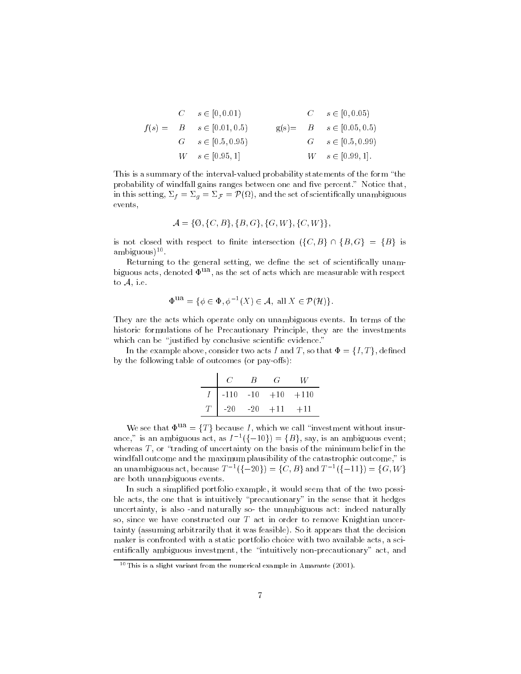|  | $C \t s \in [0, 0.01]$         |  | $C$ $s \in [0, 0.05)$          |
|--|--------------------------------|--|--------------------------------|
|  | $f(s) = B$ $s \in [0.01, 0.5]$ |  | $g(s) = B$ $s \in [0.05, 0.5]$ |
|  | $G \t s \in [0.5, 0.95)$       |  | $G \, s \in [0.5, 0.99]$       |
|  | $W \quad s \in [0.95, 1]$      |  | $W \, s \in [0.99, 1].$        |

This is a summary of the interval-valued probability statements of the form "the probability of windfall gains ranges between one and five percent." Notice that, in this setting, f  $g_{\alpha} = g_{\alpha}$  , for  $g_{\alpha}$  and the set of set of set of set of set of set of set of  $g_{\alpha}$ events,

$$
\mathcal{A} = \{ \emptyset, \{ C, B \}, \{ B, G \}, \{ G, W \}, \{ C, W \} \},
$$

is not closed with respect to finite intersection  $({C, B} \cap {B, G} = {B}$  is ambiguous)<sup>...</sup>

Returning to the general setting, we define the set of scientifically unambiguous acts, denoted  $\Phi^{ua}$ , as the set of acts which are measurable with respect to A, i.e.

$$
\Phi^{\text{ua}} = \{ \phi \in \Phi, \phi^{-1}(X) \in \mathcal{A}, \text{ all } X \in \mathcal{P}(\mathcal{H}) \}.
$$

They are the acts which operate only on unambiguous events. In terms of the historic formulations of he Precautionary Principle, they are the investments which can be "justified by conclusive scientific evidence."

In the example above, consider two acts I and T, so that  $\Phi = \{I, T\}$ , defined by the following table of outcomes (or pay-offs):

 $\bar{1}$ 

|          | C | В | $\sim$                    |  |
|----------|---|---|---------------------------|--|
|          |   |   | $-110$ $-10$ $+10$ $+110$ |  |
| $T\perp$ |   |   | $-20$ $-20$ $+11$ $+11$   |  |

We see that  $\Phi^{\text{ua}} = \{T\}$  because I, which we call "investment without insurance, is an ambiguous act, as  $I^{-1}(\{-10\}) = \{B\}$ , say, is an ambiguous event; whereas  $T$ , or "trading of uncertainty on the basis of the minimum belief in the windfall outcome and the maximum plausibility of the catastrophic outcome," is an unambiguous act, because  $T^{-1}$ (1-20) = 10, B and  $T^{-1}$ (1-11) = 1G, W  $\uparrow$ are both unambiguous events.

In such a simplied portfolio example, it would seem that of the two possible acts, the one that is intuitively "precautionary" in the sense that it hedges uncertainty, is also -and naturally so- the unambiguous act: indeed naturally so, since we have constructed our  $T$  act in order to remove Knightian uncertainty (assuming arbitrarily that it was feasible). So it appears that the decision maker is confronted with a static portfolio choice with two available acts, a scientically ambiguous investment, the \intuitively non-precautionary" act, and

<sup>&</sup>lt;sup>10</sup>This is a slight variant from the numerical example in Amarante (2001).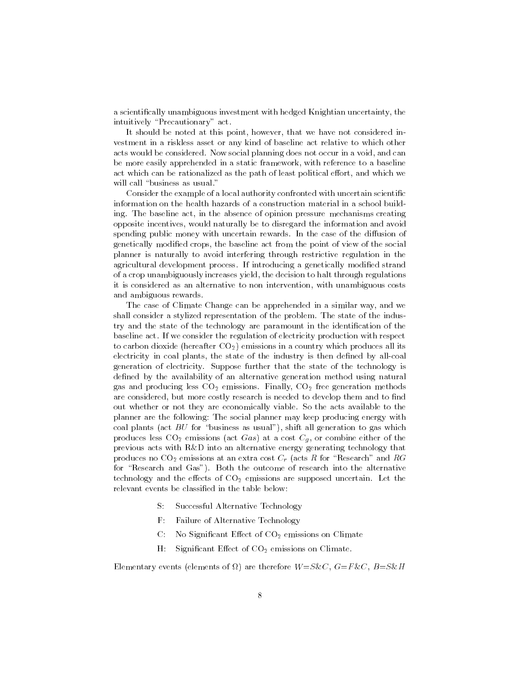a scientically unambiguous investment with hedged Knightian uncertainty, the intuitively "Precautionary" act.

It should be noted at this point, however, that we have not considered investment in a riskless asset or any kind of baseline act relative to which other acts would be considered. Now social planning does not occur in a void, and can be more easily apprehended in a static framework, with reference to a baseline act which can be rationalized as the path of least political effort, and which we will call "business as usual."

Consider the example of a local authority confronted with uncertain scientific information on the health hazards of a construction material in a school building. The baseline act, in the absence of opinion pressure mechanisms creating opposite incentives, would naturally be to disregard the information and avoid spending public money with uncertain rewards. In the case of the diffusion of genetically modied crops, the baseline act from the point of view of the social planner is naturally to avoid interfering through restrictive regulation in the agricultural development process. If introducing a genetically modified strand of a crop unambiguously increases yield, the decision to halt through regulations it is considered as an alternative to non intervention, with unambiguous costs and ambiguous rewards.

The case of Climate Change can be apprehended in a similar way, and we shall consider a stylized representation of the problem. The state of the industry and the state of the technology are paramount in the identification of the baseline act. If we consider the regulation of electricity production with respect to carbon dioxide (hereafter  $CO<sub>2</sub>$ ) emissions in a country which produces all its electricity in coal plants, the state of the industry is then defined by all-coal generation of electricity. Suppose further that the state of the technology is defined by the availability of an alternative generation method using natural gas and producing less  $CO<sub>2</sub>$  emissions. Finally,  $CO<sub>2</sub>$  free generation methods are considered, but more costly research is needed to develop them and to find out whether or not they are economically viable. So the acts available to the planner are the following: The social planner may keep producing energy with coal plants (act  $BU$  for "business as usual"), shift all generation to gas which produces less  $CO_2$  emissions (act Gas) at a cost  $C_g$ , or combine either of the previous acts with R&D into an alternative energy generating technology that produces no  $CO_2$  emissions at an extra cost  $C_r$  (acts R for "Research" and RG for "Research and  $Gas$ "). Both the outcome of research into the alternative technology and the effects of  $CO<sub>2</sub>$  emissions are supposed uncertain. Let the relevant events be classied in the table below:

- S: Successful Alternative Technology
- F: Failure of Alternative Technology
- $C:$  No Significant Effect of  $CO<sub>2</sub>$  emissions on Climate
- $H:$  Significant Effect of  $CO<sub>2</sub>$  emissions on Climate.

Elementary events (elements of ) are therefore W=S&C, G=F &C, B=S&H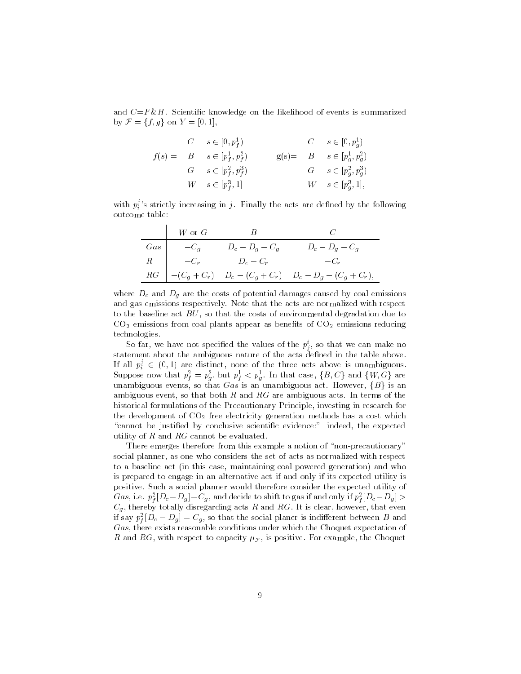and  $C=F\&H$ . Scientific knowledge on the likelihood of events is summarized by  $\mathcal{F} = \{f, g\}$  on  $Y = [0, 1],$ 

|  | $C \quad s \in [0,p_f^1]$         |  | $C$ $s \in [0,p_g^1]$             |
|--|-----------------------------------|--|-----------------------------------|
|  | $f(s) = B$ $s \in [p_f^1, p_f^2]$ |  | $g(s) = B$ $s \in [p_g^1, p_g^2]$ |
|  | $G \t s \in [p_f^2, p_f^3]$       |  | $G \t s \in [p_q^2, p_q^3]$       |
|  | $W \t s \in [p_f^3, 1]$           |  | $W \t s \in [p_g^3, 1],$          |

with  $p_i'$ 's strictly increasing in j. Finally the acts are defined by the following outcome table:

|                 | $\mathsf{I}-W$ or $G$ |                                               |                                                                               |
|-----------------|-----------------------|-----------------------------------------------|-------------------------------------------------------------------------------|
| $\mathcal{G}as$ | $-C_a$                | $D_c - D_q - C_q$                             | $D_c - D_g - C_g$                                                             |
|                 |                       | $R \qquad \qquad -C_r \qquad \qquad D_c -C_r$ | $-C_r$                                                                        |
|                 |                       |                                               | $RG \mid -(C_g + C_r) \quad D_c - (C_g + C_r) \quad D_c - D_g - (C_g + C_r),$ |

where Dc and Dg are the costs of potential damages caused by coal emissions and gas emissions respectively. Note that the acts are normalized with respect to the baseline act  $BU$ , so that the costs of environmental degradation due to  $CO<sub>2</sub>$  emissions from coal plants appear as benefits of  $CO<sub>2</sub>$  emissions reducing technologies.

So far, we have not specified the values of the  $p_j^\downarrow,$  so that we can make no statement about the ambiguous nature of the acts dened in the table above. If all  $p_i' \in (0,1)$  are distinct, none of the three acts above is unambiguous. Suppose now that  $p_f^* = p_g^*$ , but  $p_f^* < p_g^*$ . In that case,  $\{B, C\}$  and  $\{W, G\}$  are unambiguous events, so that  $Gas$  is an unambiguous act. However,  ${B}$  is an ambiguous event, so that both R and RG are ambiguous acts. In terms of the historical formulations of the Precautionary Principle, investing in research for the development of  $CO<sub>2</sub>$  free electricity generation methods has a cost which "cannot be justified by conclusive scientific evidence:" indeed, the expected utility of  $R$  and  $RG$  cannot be evaluated.

There emerges therefore from this example a notion of "non-precautionary" social planner, as one who considers the set of acts as normalized with respect to a baseline act (in this case, maintaining coal powered generation) and who is prepared to engage in an alternative act if and only if its expected utility is positive. Such a social planner would therefore consider the expected utility of Gas, i.e.  $p_f^*[D_c-D_g]-C_g$ , and decide to shift to gas if and only if  $p_f^*[D_c-D_g] > 0$ Cg , thereby totally disregarding acts <sup>R</sup> and RG. It is clear, however, that even if say  $p_{\bar{f}}\left[ D_c - D_g \right] = \mathrm{C}_g,$  so that the social planer is indifferent between  $B$  and Gas, there exists reasonable conditions under which the Choquet expectation of R and RG, with respect to capacity  $\mu_{\mathcal{F}}$ , is positive. For example, the Choquet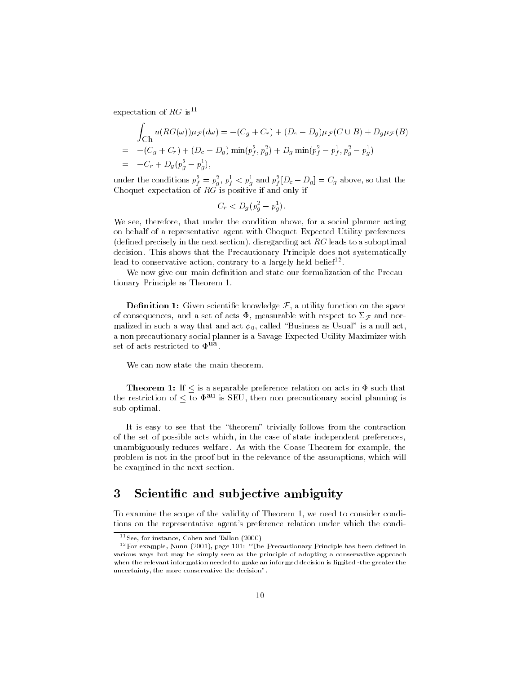expectation of  $RG$  is<sup>11</sup>

**Zakana** 

$$
\int_{\text{Ch}} u(RG(\omega))\mu_{\mathcal{F}}(d\omega) = -(C_g + C_r) + (D_c - D_g)\mu_{\mathcal{F}}(C \cup B) + D_g\mu_{\mathcal{F}}(B)
$$
\n
$$
= -(C_g + C_r) + (D_c - D_g)\min(p_f^2, p_g^2) + D_g\min(p_f^2 - p_f^1, p_g^2 - p_g^1)
$$
\n
$$
= -C_r + D_g(p_g^2 - p_g^1),
$$

under the conditions  $p_{\bar{f}} = p_q$ ,  $p_{\bar{f}} < p_q$  and  $p_{\bar{f}}[D_c - D_g] = C_g$  above, so that the Choquet expectation of  $RG$  is positive if and only if

$$
C_r < D_g \left( p_g^2 - p_g^1 \right).
$$

We see, therefore, that under the condition above, for a social planner acting on behalf of a representative agent with Choquet Expected Utility preferences (defined precisely in the next section), disregarding act  $RG$  leads to a suboptimal decision. This shows that the Precautionary Principle does not systematically lead to conservative action, contrary to a largely neid belief. The

We now give our main definition and state our formalization of the Precautionary Principle as Theorem 1.

**Definition 1:** Given scientific knowledge  $\mathcal{F}$ , a utility function on the space of consequences, and a set of acts  $\Phi$ , measurable with respect to  $\Sigma_{\mathcal{F}}$  and normalized in such a way that and act  $\phi_0$ , called "Business as Usual" is a null act, a non precautionary social planner is a Savage Expected Utility Maximizer with set of acts restricted to  $\Phi$ <sup>ua</sup>

We can now state the main theorem.

**Theorem 1:** If  $\leq$  is a separable preference relation on acts in  $\Phi$  such that the restriction of  $\leq$  to  $\Phi^{\text{au}}$  is SEU, then non precautionary social planning is sub optimal.

It is easy to see that the "theorem" trivially follows from the contraction of the set of possible acts which, in the case of state independent preferences, unambiguously reduces welfare. As with the Coase Theorem for example, the problem is not in the proof but in the relevance of the assumptions, which will be examined in the next section.

### 3 Scientific and subjective ambiguity

To examine the scope of the validity of Theorem 1, we need to consider conditions on the representative agent's preference relation under which the condi-

<sup>11</sup>See, for instance, Cohen and Tallon (2000)

 $12$  For example, Nunn (2001), page 101: "The Precautionary Principle has been defined in various ways but may be simply seen as the principle of adopting a conservative approach when the relevant information needed to make an informed decision is limited -the greater the uncertainty, the more conservative the decision".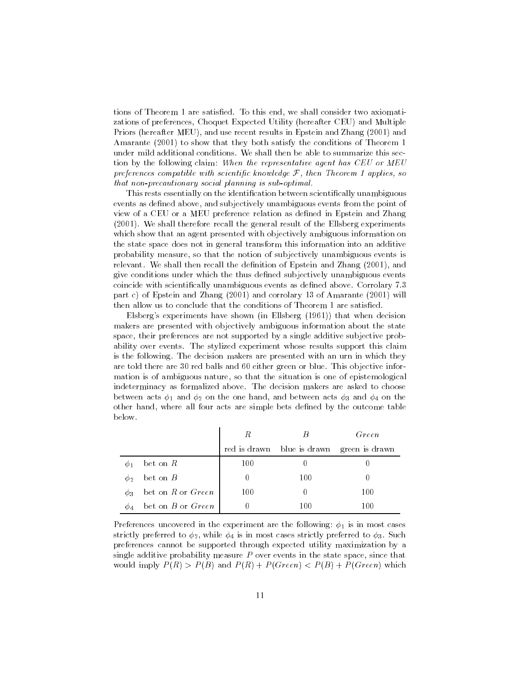tions of Theorem 1 are satisfied. To this end, we shall consider two axiomatizations of preferences, Choquet Expected Utility (hereafter CEU) and Multiple Priors (hereafter MEU), and use recent results in Epstein and Zhang (2001) and Amarante (2001) to show that they both satisfy the conditions of Theorem 1 under mild additional conditions. We shall then be able to summarize this section by the following claim: When the representative agent has CEU or MEU preferences compatible with scientific knowledge  $\mathcal F$ , then Theorem 1 applies, so that non-precautionary social planning is sub-optimal.

This rests essentially on the identification between scientifically unambiguous events as defined above, and subjectively unambiguous events from the point of view of a CEU or a MEU preference relation as defined in Epstein and Zhang (2001). We shall therefore recall the general result of the Ellsberg experiments which show that an agent presented with objectively ambiguous information on the state space does not in general transform this information into an additive probability measure, so that the notion of subjectively unambiguous events is relevant. We shall then recall the definition of Epstein and Zhang (2001), and give conditions under which the thus defined subjectively unambiguous events coincide with scientifically unambiguous events as defined above. Corrolary 7.3 part c) of Epstein and Zhang (2001) and corrolary 13 of Amarante (2001) will then allow us to conclude that the conditions of Theorem 1 are satisfied.

Elsberg's experiments have shown (in Ellsberg (1961)) that when decision makers are presented with objectively ambiguous information about the state space, their preferences are not supported by a single additive subjective probability over events. The stylized experiment whose results support this claim is the following. The decision makers are presented with an urn in which they are told there are 30 red balls and 60 either green or blue. This objective information is of ambiguous nature, so that the situation is one of epistemological indeterminacy as formalized above. The decision makers are asked to choose between acts  $\phi_1$  and  $\phi_2$  on the one hand, and between acts  $\phi_3$  and  $\phi_4$  on the other hand, where all four acts are simple bets defined by the outcome table below.

|             |                       |     |                            | Green          |
|-------------|-----------------------|-----|----------------------------|----------------|
|             |                       |     | red is drawn blue is drawn | green is drawn |
| $\varphi_1$ | bet on $R$            | 100 |                            |                |
| Øэ          | bet on $B$            |     | 100                        |                |
| $\phi_3$    | bet on $R$ or $Green$ | 100 |                            | 100            |
| Ф4          | bet on $B$ or $Green$ |     | 100                        | 100            |

Preferences uncovered in the experiment are the following:  $\phi_1$  is in most cases strictly preferred to  $\phi_2$ , while  $\phi_4$  is in most cases strictly preferred to  $\phi_3$ . Such preferences cannot be supported through expected utility maximization by a single additive probability measure  $P$  over events in the state space, since that would imply  $P(R) > P(B)$  and  $P(R) + P(Green) < P(B) + P(Green)$  which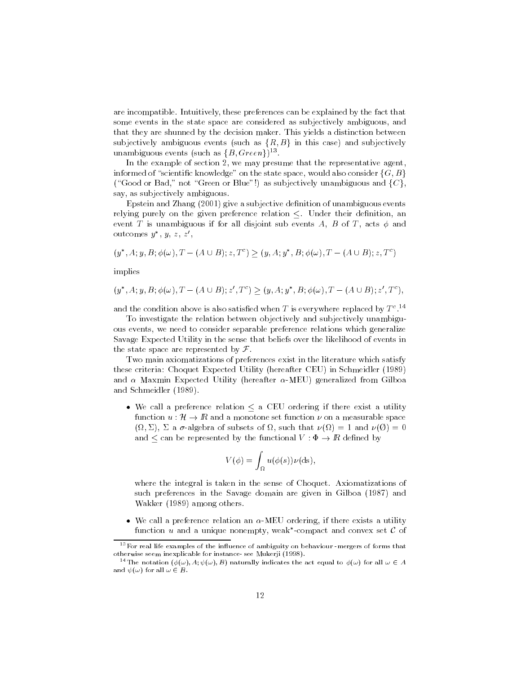are incompatible. Intuitively, these preferences can be explained by the fact that some events in the state space are considered as subjectively ambiguous, and that they are shunned by the decision maker. This yields a distinction between subjectively ambiguous events (such as  $\{R, B\}$  in this case) and subjectively unambiguous events (such as  $\{B, Green\}$ ).

In the example of section 2, we may presume that the representative agent, informed of "scientific knowledge" on the state space, would also consider  $\{G, B\}$ ("Good or Bad," not "Green or Blue"!) as subjectively unambiguous and  $\{C\}$ , say, as subjectively ambiguous.

Epstein and Zhang (2001) give a subjective definition of unambiguous events relying purely on the given preference relation  $\leq$ . Under their definition, an event T is unambiguous if for all disjoint sub events A, B of T, acts  $\phi$  and outcomes  $y_-, y_-, z_+ z_-$ 

$$
(y^*, A; y, B; \phi(\omega), T - (A \cup B); z, T^c) \ge (y, A; y^*, B; \phi(\omega), T - (A \cup B); z, T^c)
$$

implies

$$
(y^*, A; y, B; \phi(\omega), T - (A \cup B); z', T^c) \ge (y, A; y^*, B; \phi(\omega), T - (A \cup B); z', T^c),
$$

and the condition above is also satised when T is everywhere replaced by T <sup>c</sup> .14

To investigate the relation between objectively and subjectively unambiguous events, we need to consider separable preference relations which generalize Savage Expected Utility in the sense that beliefs over the likelihood of events in the state space are represented by  $\mathcal F$ .

Two main axiomatizations of preferences exist in the literature which satisfy these criteria: Choquet Expected Utility (hereafter CEU) in Schmeidler (1989) and  $\alpha$  Maxmin Expected Utility (hereafter  $\alpha$ -MEU) generalized from Gilboa and Schmeidler (1989).

• We call a preference relation  $\leq$  a CEU ordering if there exist a utility function  $u : {\cal H} \rightarrow I\!\!R$  and a monotone set function  $\nu$  on a measurable space , i.e., and  $\alpha$  is the subset of such that  $\alpha$  is that  $\alpha$  is the  $\alpha$  is that  $\alpha$  is that  $\alpha$  is that  $\alpha$ and  $\leq$  can be represented by the functional  $V : \Phi \to I\!\!R$  defined by

$$
V(\phi) = \int_{\Omega} u(\phi(s)) \nu(\mathrm{ds}),
$$

where the integral is taken in the sense of Choquet. Axiomatizations of such preferences in the Savage domain are given in Gilboa (1987) and Wakker (1989) among others.

• We call a preference relation an  $\alpha$ -MEU ordering, if there exists a utility  $\tt{t}$ unction  $u$  and a unique nonempty, weak -compact and convex set  $\boldsymbol{\iota}$  of

 $13$  For real life examples of the influence of ambiguity on behaviour -mergers of forms that otherwise seem inexplicable for instance- see Mukerji (1998).

<sup>&</sup>lt;sup>14</sup>The notation  $(\phi(\omega), A; \psi(\omega), B)$  naturally indicates the act equal to  $\phi(\omega)$  for all  $\omega \in A$ and  $\psi(\omega)$  for all  $\omega \in B$ .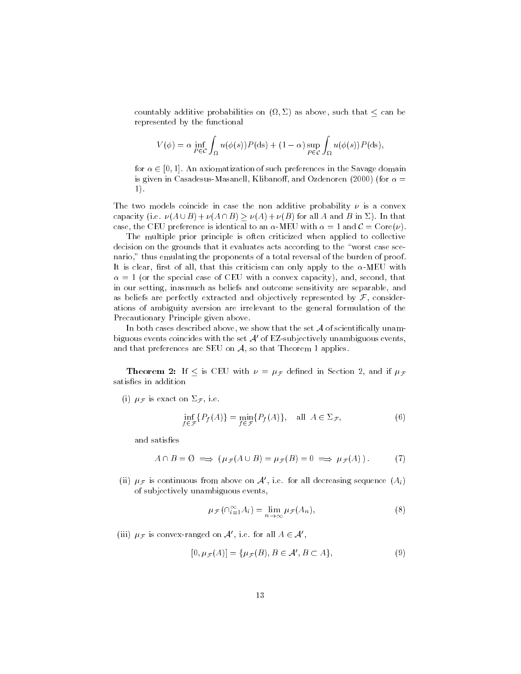$\sim$  , and the probabilities on (i.e.  $\sim$  ) as above, such that  $\sim$  , such that  $\sim$ represented by the functional

$$
V(\phi) = \alpha \inf_{P \in \mathcal{C}} \int_{\Omega} u(\phi(s)) P(ds) + (1 - \alpha) \sup_{P \in \mathcal{C}} \int_{\Omega} u(\phi(s)) P(ds),
$$

for  $\alpha \in [0, 1]$ . An axiomatization of such preferences in the Savage domain is given in Casadesus-Masanell, Klibanoff, and Ozdenoren (2000) (for  $\alpha =$ 1).

The two models coincide in case the non additive probability  $\nu$  is a convex capacity (i.e.  $\nu(A \cup B) + \nu(A \cap B) > \nu(A) + \nu(B)$  for all A and B in  $\Sigma$ ). In that case, the CEU preference is identical to an  $\alpha$ -MEU with  $\alpha = 1$  and  $\mathcal{C} = \text{Core}(\nu)$ .

The multiple prior principle is often criticized when applied to collective decision on the grounds that it evaluates acts according to the "worst case scenario," thus emulating the proponents of a total reversal of the burden of proof. It is clear, first of all, that this criticism can only apply to the  $\alpha$ -MEU with  $\alpha = 1$  (or the special case of CEU with a convex capacity), and, second, that in our setting, inasmuch as beliefs and outcome sensitivity are separable, and as beliefs are perfectly extracted and objectively represented by  $\mathcal F$ , considerations of ambiguity aversion are irrelevant to the general formulation of the Precautionary Principle given above.

In both cases described above, we show that the set  $A$  of scientifically unambiguous events coincides with the set  $A'$  of EZ-subjectively unambiguous events, and that preferences are SEU on  $A$ , so that Theorem 1 applies.

**Theorem 2:** If  $\leq$  is CEU with  $\nu = \mu \neq 1$  defined in Section 2, and if  $\mu \neq 1$ satisfies in addition

(i)  $\mu_{\mathcal{F}}$  is exact on  $\Sigma_{\mathcal{F}}$ , i.e.

$$
\inf_{f \in \mathcal{F}} \{ P_f(A) \} = \min_{f \in \mathcal{F}} \{ P_f(A) \}, \quad \text{all } A \in \Sigma_{\mathcal{F}}, \tag{6}
$$

and satisfies

$$
A \cap B = \emptyset \implies (\mu_{\mathcal{F}}(A \cup B) = \mu_{\mathcal{F}}(B) = 0 \implies \mu_{\mathcal{F}}(A)). \tag{7}
$$

(ii)  $\mu_{\mathcal{F}}$  is continuous from above on  $\mathcal{A}'$ , i.e. for all decreasing sequence  $(A_i)$ of subjectively unambiguous events,

$$
\mu_{\mathcal{F}}\left(\cap_{i=1}^{\infty}A_{i}\right)=\lim_{n\to\infty}\mu_{\mathcal{F}}(A_{n}),\tag{8}
$$

(iii)  $\mu_{\mathcal{F}}$  is convex-ranged on  $\mathcal{A}'$ , i.e. for all  $A \in \mathcal{A}'$ ,

$$
[0, \mu \mathcal{F}(A)] = {\mu \mathcal{F}(B), B \in \mathcal{A}', B \subset A}, \tag{9}
$$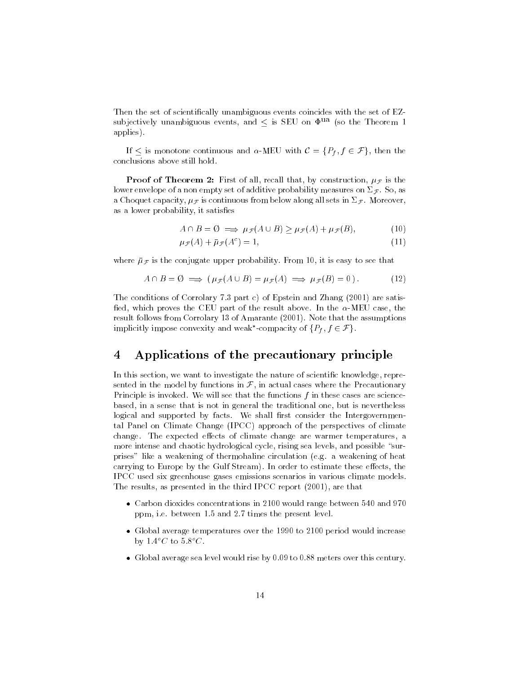Then the set of scientifically unambiguous events coincides with the set of EZsubjectively unambiguous events, and  $\leq$  is SEU on  $\Phi$ <sup>ua</sup> (so the Theorem 1 applies).

If is monotone continuous and -MEU with  $\Gamma$  is monotone continuous and -MEU with  $\Gamma$   $\Gamma$   $\Gamma$ conclusions above still hold.

**Proof of Theorem 2:** First of all, recall that, by construction,  $\mu_{\mathcal{F}}$  is the lower envelope of a non empty set of additive probability measures on  $\Sigma_{\mathcal{F}}$ . So, as a Choquet capacity,  $\mu_{\mathcal{F}}$  is continuous from below along all sets in  $\Sigma_{\mathcal{F}}$ . Moreover, as a lower probability, it satisfies

$$
A \cap B = \emptyset \implies \mu_{\mathcal{F}}(A \cup B) \ge \mu_{\mathcal{F}}(A) + \mu_{\mathcal{F}}(B), \tag{10}
$$

$$
\mu_{\mathcal{F}}(A) + \bar{\mu}_{\mathcal{F}}(A^c) = 1,\tag{11}
$$

where  $\bar{\mu}_{\mathcal{F}}$  is the conjugate upper probability. From 10, it is easy to see that

$$
A \cap B = \emptyset \implies (\mu_{\mathcal{F}}(A \cup B) = \mu_{\mathcal{F}}(A) \implies \mu_{\mathcal{F}}(B) = 0). \tag{12}
$$

The conditions of Corrolary 7.3 part c) of Epstein and Zhang (2001) are satis fied, which proves the CEU part of the result above. In the  $\alpha$ -MEU case, the result follows from Corrolary 13 of Amarante (2001). Note that the assumptions implicitly impose convexity and weak -compacity of  $\{P_f, f \in \mathcal{F}\}\$ .

#### 4 Applications of the precautionary principle  $\overline{4}$

In this section, we want to investigate the nature of scientific knowledge, represented in the model by functions in  $\mathcal F$ , in actual cases where the Precautionary Principle is invoked. We will see that the functions f in these cases are sciencebased, in a sense that is not in general the traditional one, but is nevertheless logical and supported by facts. We shall first consider the Intergovernmental Panel on Climate Change (IPCC) approach of the perspectives of climate change. The expected effects of climate change are warmer temperatures, a more intense and chaotic hydrological cycle, rising sea levels, and possible "surprises" likeaweakening of thermohaline circulation (e.g. a weakening of heat carrying to Europe by the Gulf Stream). In order to estimate these effects, the IPCC used six greenhouse gases emissions scenarios in various climate models. The results, as presented in the third IPCC report (2001), are that

- Carbon dioxides concentrations in 2100 would range between 540 and 970 ppm, i.e. between 1.5 and 2.7 times the present level.
- Global average temperatures over the 1990 to 2100 period would increase by  $1.4^{\circ}C$  to  $5.8^{\circ}C$ .
- Global average sea level would rise by 0.09 to 0.88 meters over this century.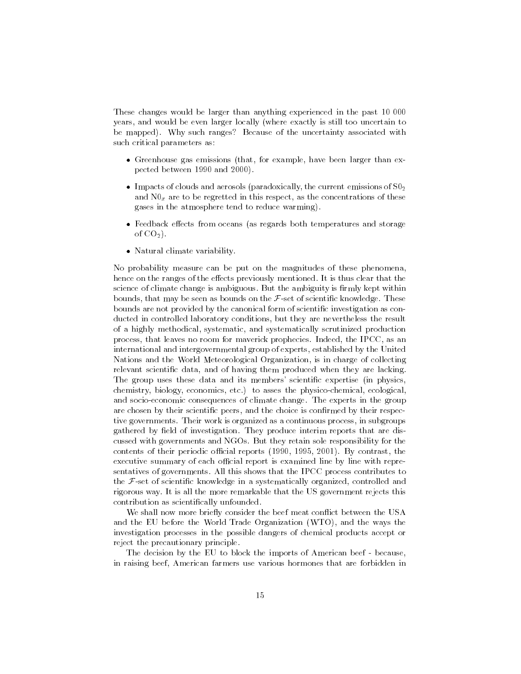These changes would be larger than anything experienced in the past 10 000 years, and would be even larger locally (where exactly is still too uncertain to be mapped). Why such ranges? Because of the uncertainty associated with such critical parameters as:

- Greenhouse gas emissions (that, for example, have been larger than expected between 1990 and 2000).
- Impacts of clouds and aerosols (paradoxically, the current emissions of  $S0<sub>2</sub>$ and N0x are to be regretted in this respect, as the concentrations of these gases in the atmosphere tend to reduce warming).
- Feedback effects from oceans (as regards both temperatures and storage of  $CO<sub>2</sub>$ ).
- Natural climate variability.

No probability measure can be put on the magnitudes of these phenomena, hence on the ranges of the effects previously mentioned. It is thus clear that the science of climate change is ambiguous. But the ambiguity is firmly kept within bounds, that may be seen as bounds on the  $\mathcal{F}$ -set of scientific knowledge. These bounds are not provided by the canonical form of scientific investigation as conducted in controlled laboratory conditions, but they are nevertheless the result of a highly methodical, systematic, and systematically scrutinized production process, that leaves no room for maverick prophecies. Indeed, the IPCC, as an international and intergovernmental group of experts, established by the United Nations and the World Meteorological Organization, is in charge of collecting relevant scientific data, and of having them produced when they are lacking. The group uses these data and its members' scientific expertise (in physics, chemistry, biology, economics, etc.) to asses the physico-chemical, ecological, and socio-economic consequences of climate change. The experts in the group are chosen by their scientific peers, and the choice is confirmed by their respective governments. Their work is organized as a continuous process, in subgroups gathered by field of investigation. They produce interim reports that are discussed with governments and NGOs. But they retain sole responsibility for the contents of their periodic official reports  $(1990, 1995, 2001)$ . By contrast, the executive summary of each official report is examined line by line with representatives of governments. All this shows that the IPCC process contributes to the  $F$ -set of scientific knowledge in a systematically organized, controlled and rigorous way. It is all the more remarkable that the US government rejects this contribution as scientically unfounded.

We shall now more briefly consider the beef meat conflict between the USA and the EU before the World Trade Organization (WTO), and the ways the investigation processes in the possible dangers of chemical products accept or reject the precautionary principle.

The decision by the EU to block the imports of American beef - because, in raising beef, American farmers use various hormones that are forbidden in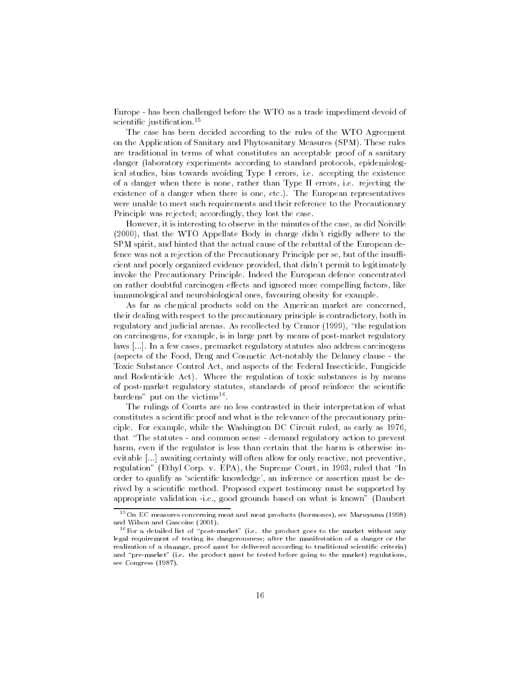Europe - has been challenged before the WTO as a trade impediment devoid of scientific justification.<sup>15</sup>

The case has been decided according to the rules of the WTO Agreement on the Application of Sanitary and Phytosanitary Measures (SPM). These rules are traditional in terms of what constitutes an acceptable proof of a sanitary danger (laboratory experiments according to standard protocols, epidemiological studies, bias towards avoiding Type I errors, i.e. accepting the existence of a danger when there is none, rather than Type II errors, i.e. rejecting the existence of a danger when there is one, etc.). The European representatives were unable to meet such requirements and their reference to the Precautionary Principle was rejected; accordingly, they lost the case.

However, it is interesting to observe in the minutes of the case, as did Noiville (2000), that the WTO Appellate Body in charge didn't rigidly adhere to the SPM spirit, and hinted that the actual cause of the rebuttal of the European defence was not a rejection of the Precautionary Principle per se, but of the insufficient and poorly organized evidence provided, that didn't permit to legitimately invoke the Precautionary Principle. Indeed the European defence concentrated on rather doubtful carcinogen effects and ignored more compelling factors, like immunological and neurobiological ones, favouring obesity for example.

As far as chemical products sold on the American market are concerned, their dealing with respect to the precautionary principle is contradictory, both in regulatory and judicial arenas. As recollected by Cranor (1999), \the regulation on carcinogens, for example, is in large part by means of post-market regulatory laws [...]. In a few cases, premarket regulatory statutes also address carcinogens (aspects of the Food, Drug and Cosmetic Act-notably the Delaney clause - the Toxic Substance Control Act, and aspects of the Federal Insecticide, Fungicide and Rodenticide Act). Where the regulation of toxic substances is by means of post-market regulatory statutes, standards of proof reinforce the scientic burdens put on the victims".

The rulings of Courts are no less contrasted in their interpretation of what constitutes a scientic proof and what is the relevance of the precautionary principle. For example, while the Washington DC Circuit ruled, as early as 1976, that \The statutes - and common sense - demand regulatory action to prevent harm, even if the regulator is less than certain that the harm is otherwise inevitable [...] awaiting certainty will often allow for only reactive, not preventive, regulation" (Ethyl Corp. v. EPA), the Supreme Court, in 1993, ruled that "In order to qualify as 'scientific knowledge', an inference or assertion must be derived by a scientic method. Proposed expert testimony must be supported by appropriate validation -i.e., good grounds based on what is known" (Daubert

<sup>15</sup>On EC measures concerning meat and meat products (hormones), see Maruyama (1998) and Wilson and Gascoine (2001).

 $16$  For a detailed list of "post-market" (i.e. the product goes to the market without any legal requirement of testing its dangerousness; after the manifestation of a danger or the realization of a damage, proof must be delivered according to traditional scientific criteria) and "pre-market" (i.e. the product must be tested before going to the market) regulations, see Congress (1987).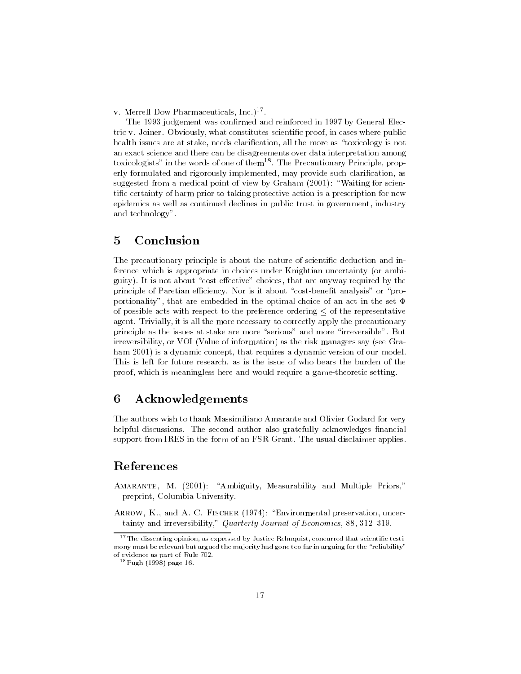v. Merrell Dow Pharmaceuticals, Inc.)\* .

The 1993 judgement was confirmed and reinforced in 1997 by General Electric v. Joiner. Obviously, what constitutes scientific proof, in cases where public health issues are at stake, needs clarification, all the more as "toxicology is not an exact science and there can be disagreements over data interpretation among toxicologists" in the words of one of them<sup>18</sup>. The Precautionary Principle, properly formulated and rigorously implemented, may provide such clarication, as suggested from a medical point of view by Graham  $(2001)$ : "Waiting for scientic certainty of harm prior to taking protective action is a prescription for new epidemics as well as continued declines in public trust in government, industry and technology".

#### $\overline{5}$ Conclusion

The precautionary principle is about the nature of scientific deduction and inference which is appropriate in choices under Knightian uncertainty (or ambiguity). It is not about "cost-effective" choices, that are anyway required by the principle of Paretian efficiency. Nor is it about "cost-benefit analysis" or "proportionality", that are embedded in the optimal choice of an act in the set  $\Phi$ of possible acts with respect to the preference ordering  $\leq$  of the representative agent. Trivially, it is all the more necessary to correctly apply the precautionary principle as the issues at stake are more "serious" and more "irreversible". But irreversibility, or VOI (Value of information) as the risk managers say (see Graham 2001) is a dynamic concept, that requires a dynamic version of our model. This is left for future research, as is the issue of who bears the burden of the proof, which is meaningless here and would require a game-theoretic setting.

#### 6 6 Acknowledgements

The authors wish to thank Massimiliano Amarante and Olivier Godard for very helpful discussions. The second author also gratefully acknowledges financial support from IRES in the form of an FSR Grant. The usual disclaimer applies.

### References

- AMARANTE, M. (2001): "Ambiguity, Measurability and Multiple Priors," preprint, Columbia University.
- ARROW, K., and A. C. FISCHER (1974): "Environmental preservation, uncertainty and irreversibility," Quarterly Journal of Economics, 88, 312 319.

 $17$ The dissenting opinion, as expressed by Justice Rehnquist, concurred that scientific testimony must be relevant but argued the majority had gone too far in arguing for the "reliability" of evidence as part of Rule 702.

<sup>18</sup>Pugh (1998) page 16.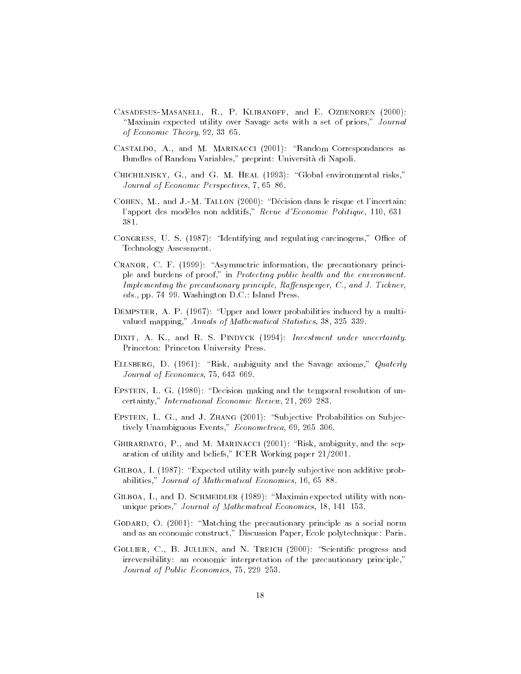- Casadesus-Masanell, R., P. Klibanoff, and E. Ozdenoren (2000): "Maximin expected utility over Savage acts with a set of priors," Journal of Economic Theory,  $92, 33, 65$ .
- CASTALDO, A., and M. MARINACCI (2001): "Random Correspondances as Bundles of Random Variables," preprint: Universita di Napoli.
- CHICHILNISKY, G., and G. M. HEAL (1993): "Global environmental risks," Journal of Economic Perspectives, 7, 65 86.
- COHEN, M., and J.-M. TALLON (2000): "Décision dans le risque et l'incertain: l'apport des modeles non additifs," Revue d'Economie Politique, 110, 631{ 381.
- CONGRESS, U. S. (1987): "Identifying and regulating carcinogens," Office of Technology Assessment.
- CRANOR, C. F.  $(1999)$ : "Asymmetric information, the precautionary principle and burdens of proof," in Protecting public health and the environment. Implementing the precautionary principle, Raffensperger, C., and J. Tickner, eds., pp. 74 99. Washington D.C.: Island Press.
- DEMPSTER, A. P.  $(1967)$ : "Upper and lower probabilities induced by a multivalued mapping," Annals of Mathematical Statistics, 38, 325 339.
- DIXIT, A. K., and R. S. PINDYCK (1994): Investment under uncertainty. Princeton: Princeton University Press.
- ELLSBERG, D. (1961): "Risk, ambiguity and the Savage axioms," Quaterly Journal of Economics,  $75, 643, 669$ .
- EPSTEIN, L. G.  $(1980)$ : "Decision making and the temporal resolution of uncertainty," International Economic Review, 21, 269 283.
- EPSTEIN, L. G., and J. ZHANG (2001): "Subjective Probabilities on Subjectively Unambiguous Events," Econometrica, 69, 265 306.
- GHIRARDATO, P., and M. MARINACCI  $(2001)$ : "Risk, ambiguity, and the separation of utility and beliefs," ICER Working paper 21/2001.
- GILBOA, I. (1987): "Expected utility with purely subjective non additive probabilities," Journal of Mathematical Economics, 16, 65 88.
- GILBOA, I., and D. SCHMEIDLER  $(1989)$ : "Maximin expected utility with nonunique priors," Journal of Mathematical Economics, 18, 141 153.
- GODARD, O.  $(2001)$ : "Matching the precautionary principle as a social norm and as an economic construct," Discussion Paper, Ecole polytechnique: Paris.
- GOLLIER, C., B. JULLIEN, and N. TREICH  $(2000)$ : "Scientific progress and irreversibility: an economic interpretation of the precautionary principle," Journal of Public Economics, 75, 229 253.